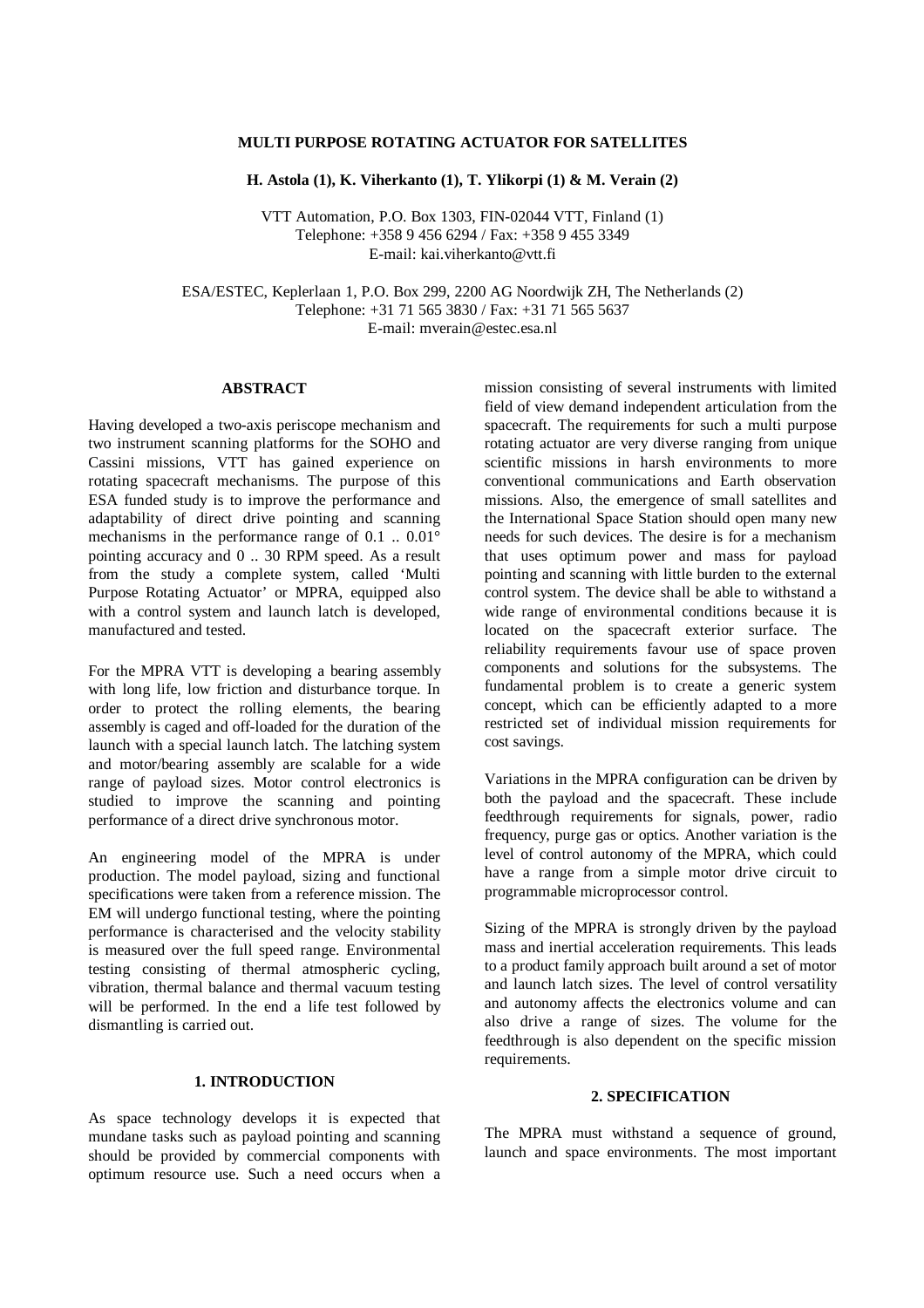## **MULTI PURPOSE ROTATING ACTUATOR FOR SATELLITES**

**H. Astola (1), K. Viherkanto (1), T. Ylikorpi (1) & M. Verain (2)**

VTT Automation, P.O. Box 1303, FIN-02044 VTT, Finland (1) Telephone: +358 9 456 6294 / Fax: +358 9 455 3349 E-mail: kai.viherkanto@vtt.fi

ESA/ESTEC, Keplerlaan 1, P.O. Box 299, 2200 AG Noordwijk ZH, The Netherlands (2) Telephone: +31 71 565 3830 / Fax: +31 71 565 5637 E-mail: mverain@estec.esa.nl

#### **ABSTRACT**

Having developed a two-axis periscope mechanism and two instrument scanning platforms for the SOHO and Cassini missions, VTT has gained experience on rotating spacecraft mechanisms. The purpose of this ESA funded study is to improve the performance and adaptability of direct drive pointing and scanning mechanisms in the performance range of 0.1 .. 0.01° pointing accuracy and 0 .. 30 RPM speed. As a result from the study a complete system, called 'Multi Purpose Rotating Actuator' or MPRA, equipped also with a control system and launch latch is developed, manufactured and tested.

For the MPRA VTT is developing a bearing assembly with long life, low friction and disturbance torque. In order to protect the rolling elements, the bearing assembly is caged and off-loaded for the duration of the launch with a special launch latch. The latching system and motor/bearing assembly are scalable for a wide range of payload sizes. Motor control electronics is studied to improve the scanning and pointing performance of a direct drive synchronous motor.

An engineering model of the MPRA is under production. The model payload, sizing and functional specifications were taken from a reference mission. The EM will undergo functional testing, where the pointing performance is characterised and the velocity stability is measured over the full speed range. Environmental testing consisting of thermal atmospheric cycling, vibration, thermal balance and thermal vacuum testing will be performed. In the end a life test followed by dismantling is carried out.

# **1. INTRODUCTION**

As space technology develops it is expected that mundane tasks such as payload pointing and scanning should be provided by commercial components with optimum resource use. Such a need occurs when a mission consisting of several instruments with limited field of view demand independent articulation from the spacecraft. The requirements for such a multi purpose rotating actuator are very diverse ranging from unique scientific missions in harsh environments to more conventional communications and Earth observation missions. Also, the emergence of small satellites and the International Space Station should open many new needs for such devices. The desire is for a mechanism that uses optimum power and mass for payload pointing and scanning with little burden to the external control system. The device shall be able to withstand a wide range of environmental conditions because it is located on the spacecraft exterior surface. The reliability requirements favour use of space proven components and solutions for the subsystems. The fundamental problem is to create a generic system concept, which can be efficiently adapted to a more restricted set of individual mission requirements for cost savings.

Variations in the MPRA configuration can be driven by both the payload and the spacecraft. These include feedthrough requirements for signals, power, radio frequency, purge gas or optics. Another variation is the level of control autonomy of the MPRA, which could have a range from a simple motor drive circuit to programmable microprocessor control.

Sizing of the MPRA is strongly driven by the payload mass and inertial acceleration requirements. This leads to a product family approach built around a set of motor and launch latch sizes. The level of control versatility and autonomy affects the electronics volume and can also drive a range of sizes. The volume for the feedthrough is also dependent on the specific mission requirements.

# **2. SPECIFICATION**

The MPRA must withstand a sequence of ground, launch and space environments. The most important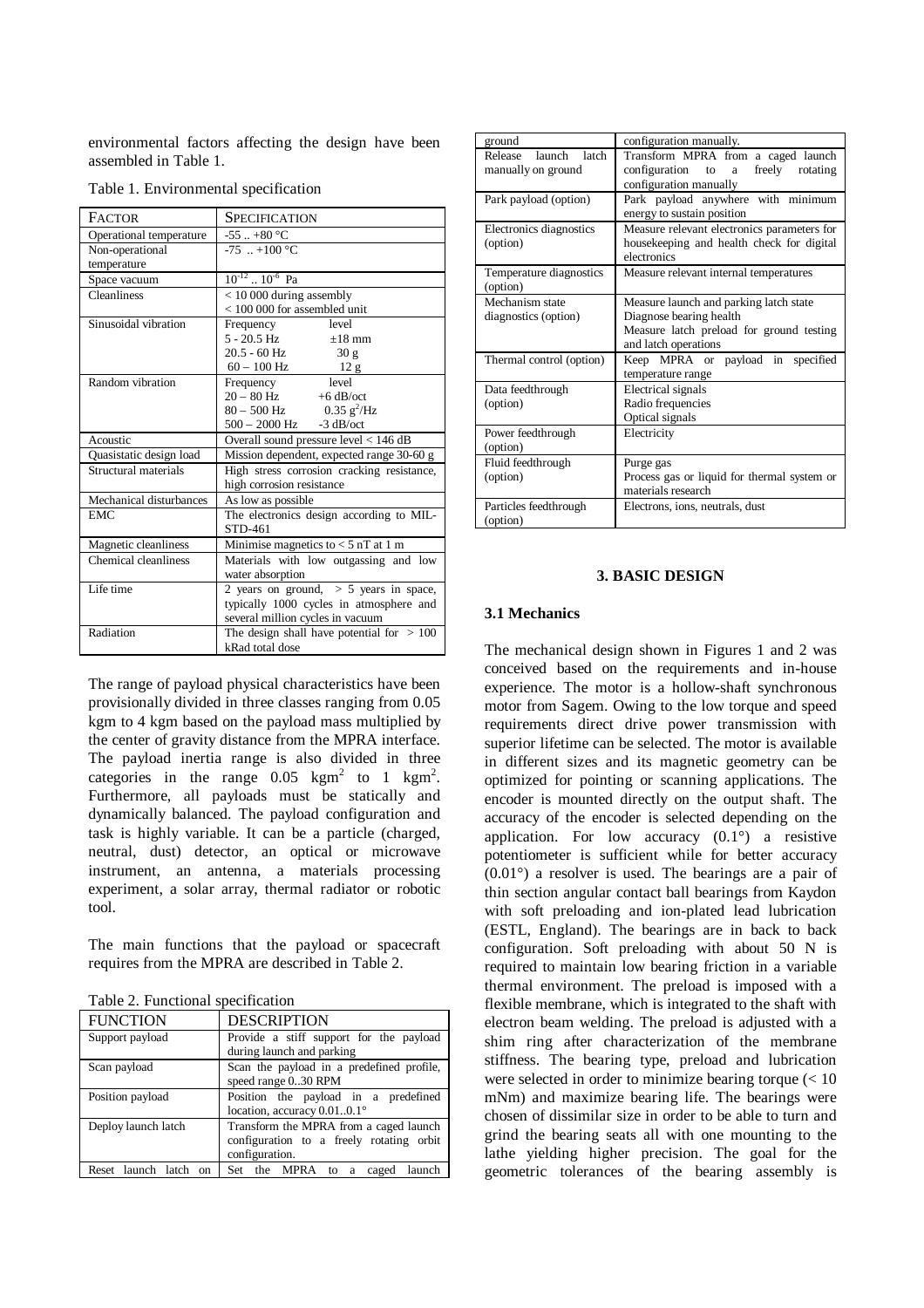environmental factors affecting the design have been assembled in Table 1.

| <b>FACTOR</b>           | SPECIFICATION                                                  |
|-------------------------|----------------------------------------------------------------|
| Operational temperature | -55  +80 $^{\circ}$ C                                          |
| Non-operational         | $-75$ +100 °C                                                  |
| temperature             |                                                                |
| Space vacuum            | $10^{-12}$ . $10^{-6}$ Pa                                      |
| Cleanliness             | $< 10000$ during assembly                                      |
|                         | $<$ 100 000 for assembled unit                                 |
| Sinusoidal vibration    | Frequency level                                                |
|                         | $5 - 20.5$ Hz $\pm 18$ mm                                      |
|                         | 20.5 - 60 Hz<br>30 g                                           |
|                         | $60 - 100$ Hz 12 g                                             |
| Random vibration        | level<br>Frequency                                             |
|                         | $20 - 80$ Hz $+6$ dB/oct                                       |
|                         | $80 - 500$ Hz $0.35$ g <sup>2</sup> /Hz                        |
|                         | $\frac{500-2000 \text{ Hz}}{3 \text{ dB/oct}}$                 |
| Acoustic                | Overall sound pressure level < 146 dB                          |
| Quasistatic design load |                                                                |
|                         | Mission dependent, expected range 30-60 g                      |
| Structural materials    | High stress corrosion cracking resistance,                     |
|                         | high corrosion resistance                                      |
| Mechanical disturbances | As low as possible                                             |
| <b>EMC</b>              | The electronics design according to MIL-                       |
|                         | STD-461                                                        |
| Magnetic cleanliness    | Minimise magnetics to $<$ 5 nT at 1 m                          |
| Chemical cleanliness    | Materials with low outgassing and low                          |
|                         | water absorption                                               |
| Life time               | 2 years on ground, $> 5$ years in space,                       |
|                         | typically 1000 cycles in atmosphere and                        |
|                         | several million cycles in vacuum                               |
| Radiation               | The design shall have potential for $> 100$<br>kRad total dose |

The range of payload physical characteristics have been provisionally divided in three classes ranging from 0.05 kgm to 4 kgm based on the payload mass multiplied by the center of gravity distance from the MPRA interface. The payload inertia range is also divided in three categories in the range  $0.05 \text{ km}^2$  to 1 kgm<sup>2</sup>. Furthermore, all payloads must be statically and dynamically balanced. The payload configuration and task is highly variable. It can be a particle (charged, neutral, dust) detector, an optical or microwave instrument, an antenna, a materials processing experiment, a solar array, thermal radiator or robotic tool.

The main functions that the payload or spacecraft requires from the MPRA are described in Table 2.

|  |  | Table 2. Functional specification |
|--|--|-----------------------------------|
|--|--|-----------------------------------|

| <b>FUNCTION</b>          | <b>DESCRIPTION</b>                                                                                   |
|--------------------------|------------------------------------------------------------------------------------------------------|
| Support payload          | Provide a stiff support for the payload<br>during launch and parking                                 |
| Scan payload             | Scan the payload in a predefined profile,<br>speed range 030 RPM                                     |
| Position payload         | Position the payload in a predefined<br>location, accuracy 0.010.1°                                  |
| Deploy launch latch      | Transform the MPRA from a caged launch<br>configuration to a freely rotating orbit<br>configuration. |
| Reset launch latch<br>on | Set the MPRA to a<br>launch<br>caged                                                                 |

| ground                                        | configuration manually.                                                                                                               |
|-----------------------------------------------|---------------------------------------------------------------------------------------------------------------------------------------|
| Release<br>launch latch<br>manually on ground | Transform MPRA from a caged launch<br>freely rotating<br>configuration<br>to<br>a<br>configuration manually                           |
| Park payload (option)                         | Park payload anywhere with minimum<br>energy to sustain position                                                                      |
| Electronics diagnostics<br>(option)           | Measure relevant electronics parameters for<br>housekeeping and health check for digital<br>electronics                               |
| Temperature diagnostics<br>(option)           | Measure relevant internal temperatures                                                                                                |
| Mechanism state<br>diagnostics (option)       | Measure launch and parking latch state<br>Diagnose bearing health<br>Measure latch preload for ground testing<br>and latch operations |
| Thermal control (option)                      | Keep MPRA or payload<br>specified<br>in<br>temperature range                                                                          |
| Data feedthrough<br>(option)                  | <b>Electrical</b> signals<br>Radio frequencies<br>Optical signals                                                                     |
| Power feedthrough<br>(option)                 | Electricity                                                                                                                           |
| Fluid feedthrough<br>(option)                 | Purge gas<br>Process gas or liquid for thermal system or<br>materials research                                                        |
| Particles feedthrough<br>(option)             | Electrons, ions, neutrals, dust                                                                                                       |

# **3. BASIC DESIGN**

#### **3.1 Mechanics**

The mechanical design shown in Figures 1 and 2 was conceived based on the requirements and in-house experience. The motor is a hollow-shaft synchronous motor from Sagem. Owing to the low torque and speed requirements direct drive power transmission with superior lifetime can be selected. The motor is available in different sizes and its magnetic geometry can be optimized for pointing or scanning applications. The encoder is mounted directly on the output shaft. The accuracy of the encoder is selected depending on the application. For low accuracy (0.1°) a resistive potentiometer is sufficient while for better accuracy (0.01°) a resolver is used. The bearings are a pair of thin section angular contact ball bearings from Kaydon with soft preloading and ion-plated lead lubrication (ESTL, England). The bearings are in back to back configuration. Soft preloading with about 50 N is required to maintain low bearing friction in a variable thermal environment. The preload is imposed with a flexible membrane, which is integrated to the shaft with electron beam welding. The preload is adjusted with a shim ring after characterization of the membrane stiffness. The bearing type, preload and lubrication were selected in order to minimize bearing torque (< 10 mNm) and maximize bearing life. The bearings were chosen of dissimilar size in order to be able to turn and grind the bearing seats all with one mounting to the lathe yielding higher precision. The goal for the geometric tolerances of the bearing assembly is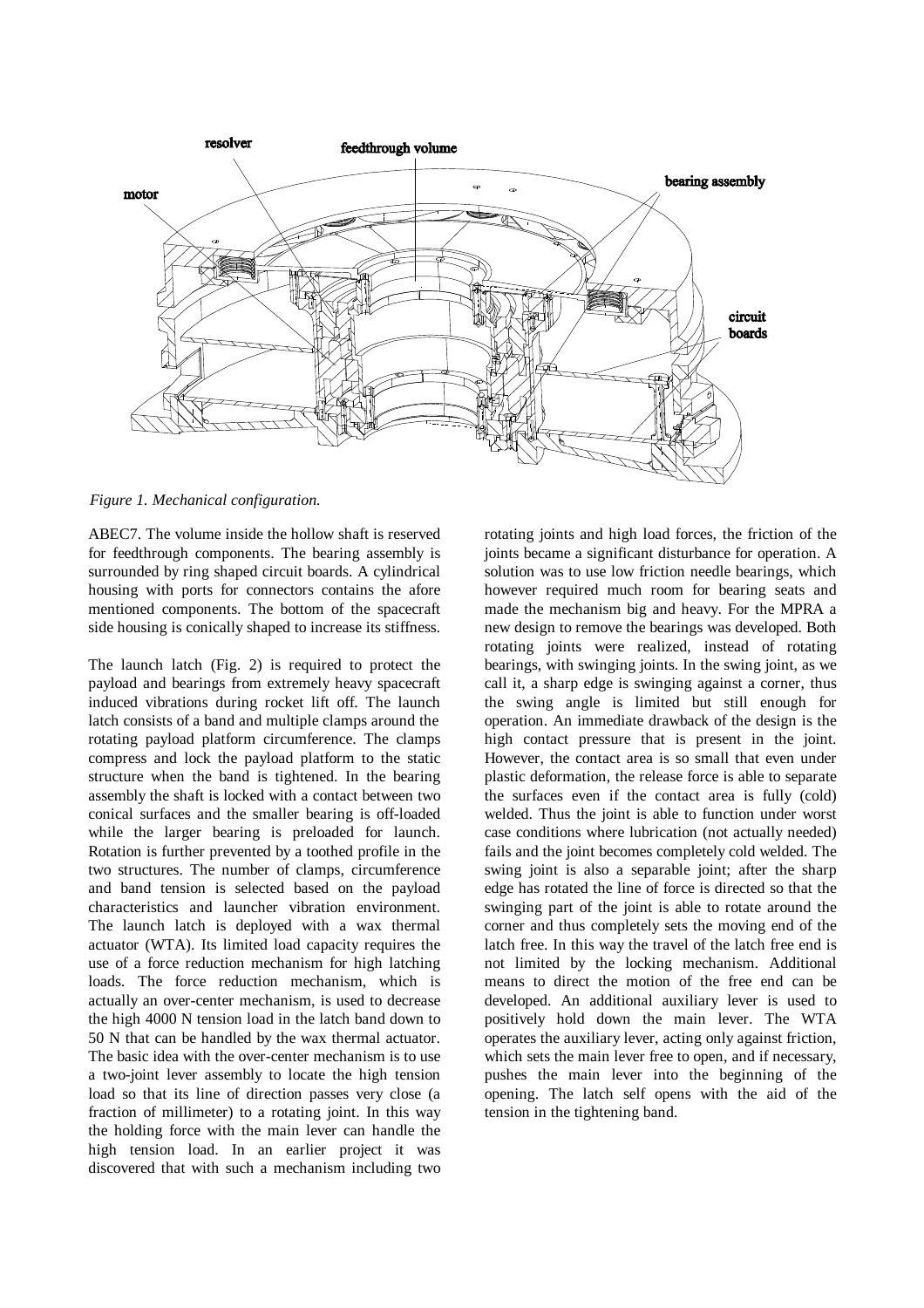

*Figure 1. Mechanical configuration.*

ABEC7. The volume inside the hollow shaft is reserved for feedthrough components. The bearing assembly is surrounded by ring shaped circuit boards. A cylindrical housing with ports for connectors contains the afore mentioned components. The bottom of the spacecraft side housing is conically shaped to increase its stiffness.

The launch latch (Fig. 2) is required to protect the payload and bearings from extremely heavy spacecraft induced vibrations during rocket lift off. The launch latch consists of a band and multiple clamps around the rotating payload platform circumference. The clamps compress and lock the payload platform to the static structure when the band is tightened. In the bearing assembly the shaft is locked with a contact between two conical surfaces and the smaller bearing is off-loaded while the larger bearing is preloaded for launch. Rotation is further prevented by a toothed profile in the two structures. The number of clamps, circumference and band tension is selected based on the payload characteristics and launcher vibration environment. The launch latch is deployed with a wax thermal actuator (WTA). Its limited load capacity requires the use of a force reduction mechanism for high latching loads. The force reduction mechanism, which is actually an over-center mechanism, is used to decrease the high 4000 N tension load in the latch band down to 50 N that can be handled by the wax thermal actuator. The basic idea with the over-center mechanism is to use a two-joint lever assembly to locate the high tension load so that its line of direction passes very close (a fraction of millimeter) to a rotating joint. In this way the holding force with the main lever can handle the high tension load. In an earlier project it was discovered that with such a mechanism including two rotating joints and high load forces, the friction of the joints became a significant disturbance for operation. A solution was to use low friction needle bearings, which however required much room for bearing seats and made the mechanism big and heavy. For the MPRA a new design to remove the bearings was developed. Both rotating joints were realized, instead of rotating bearings, with swinging joints. In the swing joint, as we call it, a sharp edge is swinging against a corner, thus the swing angle is limited but still enough for operation. An immediate drawback of the design is the high contact pressure that is present in the joint. However, the contact area is so small that even under plastic deformation, the release force is able to separate the surfaces even if the contact area is fully (cold) welded. Thus the joint is able to function under worst case conditions where lubrication (not actually needed) fails and the joint becomes completely cold welded. The swing joint is also a separable joint; after the sharp edge has rotated the line of force is directed so that the swinging part of the joint is able to rotate around the corner and thus completely sets the moving end of the latch free. In this way the travel of the latch free end is not limited by the locking mechanism. Additional means to direct the motion of the free end can be developed. An additional auxiliary lever is used to positively hold down the main lever. The WTA operates the auxiliary lever, acting only against friction, which sets the main lever free to open, and if necessary, pushes the main lever into the beginning of the opening. The latch self opens with the aid of the tension in the tightening band.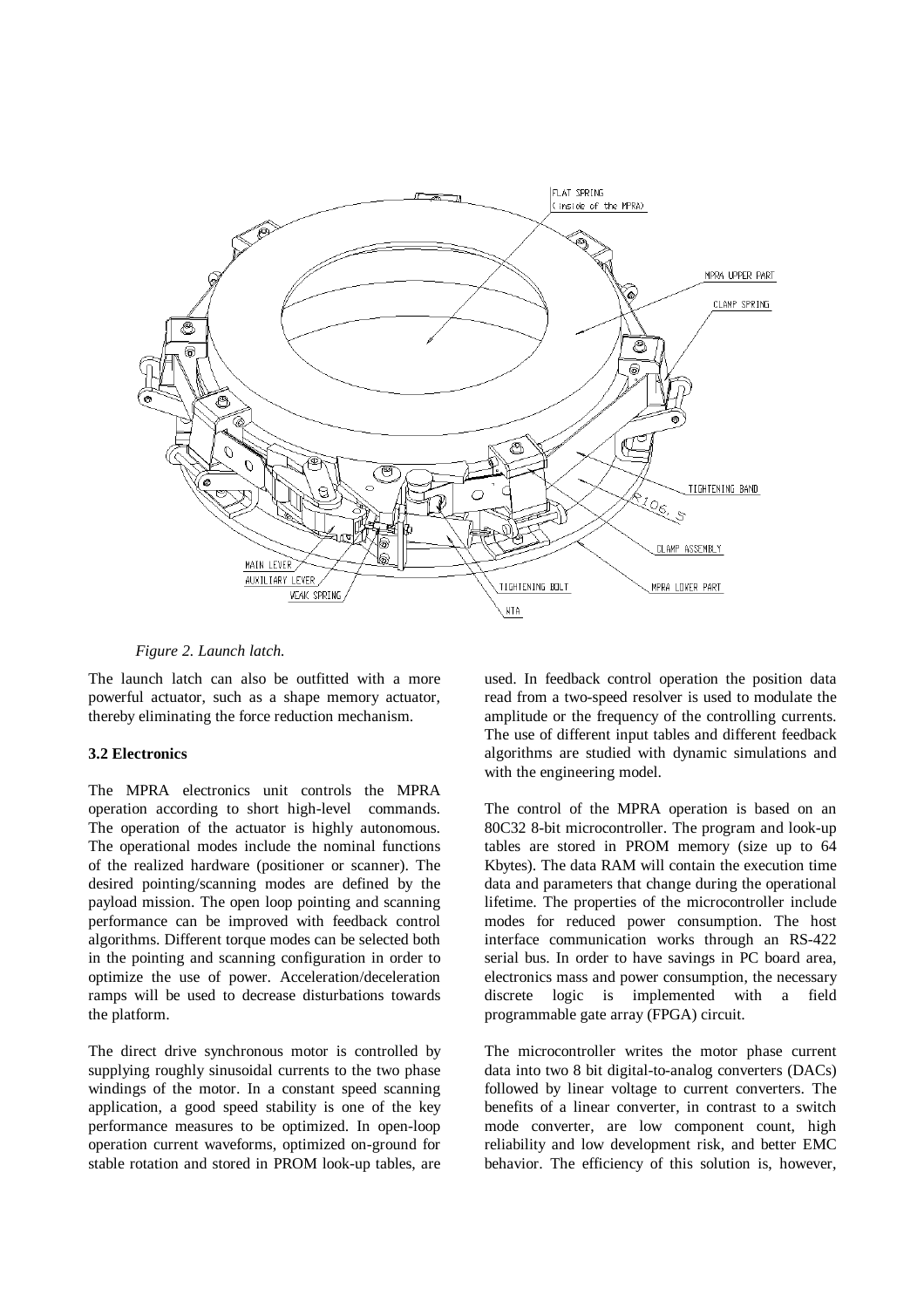

#### *Figure 2. Launch latch.*

The launch latch can also be outfitted with a more powerful actuator, such as a shape memory actuator, thereby eliminating the force reduction mechanism.

### **3.2 Electronics**

The MPRA electronics unit controls the MPRA operation according to short high-level commands. The operation of the actuator is highly autonomous. The operational modes include the nominal functions of the realized hardware (positioner or scanner). The desired pointing/scanning modes are defined by the payload mission. The open loop pointing and scanning performance can be improved with feedback control algorithms. Different torque modes can be selected both in the pointing and scanning configuration in order to optimize the use of power. Acceleration/deceleration ramps will be used to decrease disturbations towards the platform.

The direct drive synchronous motor is controlled by supplying roughly sinusoidal currents to the two phase windings of the motor. In a constant speed scanning application, a good speed stability is one of the key performance measures to be optimized. In open-loop operation current waveforms, optimized on-ground for stable rotation and stored in PROM look-up tables, are used. In feedback control operation the position data read from a two-speed resolver is used to modulate the amplitude or the frequency of the controlling currents. The use of different input tables and different feedback algorithms are studied with dynamic simulations and with the engineering model.

The control of the MPRA operation is based on an 80C32 8-bit microcontroller. The program and look-up tables are stored in PROM memory (size up to 64 Kbytes). The data RAM will contain the execution time data and parameters that change during the operational lifetime. The properties of the microcontroller include modes for reduced power consumption. The host interface communication works through an RS-422 serial bus. In order to have savings in PC board area, electronics mass and power consumption, the necessary discrete logic is implemented with a field programmable gate array (FPGA) circuit.

The microcontroller writes the motor phase current data into two 8 bit digital-to-analog converters (DACs) followed by linear voltage to current converters. The benefits of a linear converter, in contrast to a switch mode converter, are low component count, high reliability and low development risk, and better EMC behavior. The efficiency of this solution is, however,